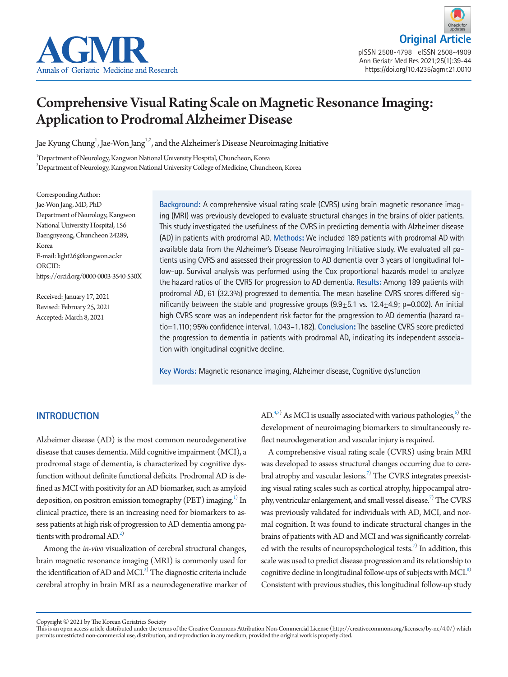



pISSN 2508-4798 eISSN 2508-4909 Ann Geriatr Med Res 2021;25(1):39-44 https://doi.org/10.4235/agmr.21.0010

# Comprehensive Visual Rating Scale on Magnetic Resonance Imaging: Application to Prodromal Alzheimer Disease

Jae Kyung Chung<sup>1</sup>, Jae-Won Jang<sup>1,2</sup>, and the Alzheimer's Disease Neuroimaging Initiative

1 Department of Neurology, Kangwon National University Hospital, Chuncheon, Korea  $^{2}$ Department of Neurology, Kangwon National University College of Medicine, Chuncheon, Korea

Corresponding Author: Jae-Won Jang, MD, PhD Department of Neurology, Kangwon National University Hospital, 156 Baengnyeong, Chuncheon 24289, Korea E-mail: light26@kangwon.ac.kr ORCID: https://orcid.org/0000-0003-3540-530X

Received: January 17, 2021 Revised: February 25, 2021 Accepted: March 8, 2021

**Background:** A comprehensive visual rating scale (CVRS) using brain magnetic resonance imaging (MRI) was previously developed to evaluate structural changes in the brains of older patients. This study investigated the usefulness of the CVRS in predicting dementia with Alzheimer disease (AD) in patients with prodromal AD. **Methods:** We included 189 patients with prodromal AD with available data from the Alzheimer's Disease Neuroimaging Initiative study. We evaluated all patients using CVRS and assessed their progression to AD dementia over 3 years of longitudinal follow-up. Survival analysis was performed using the Cox proportional hazards model to analyze the hazard ratios of the CVRS for progression to AD dementia. **Results:** Among 189 patients with prodromal AD, 61 (32.3%) progressed to dementia. The mean baseline CVRS scores differed significantly between the stable and progressive groups  $(9.9 \pm 5.1 \text{ vs. } 12.4 \pm 4.9; \text{ p} = 0.002)$ . An initial high CVRS score was an independent risk factor for the progression to AD dementia (hazard ratio=1.110; 95% confidence interval, 1.043–1.182). **Conclusion:** The baseline CVRS score predicted the progression to dementia in patients with prodromal AD, indicating its independent association with longitudinal cognitive decline.

**Key Words:** Magnetic resonance imaging, Alzheimer disease, Cognitive dysfunction

# **INTRODUCTION**

Alzheimer disease (AD) is the most common neurodegenerative disease that causes dementia. Mild cognitive impairment (MCI), a prodromal stage of dementia, is characterized by cognitive dysfunction without definite functional deficits. Prodromal AD is defined as MCI with positivity for an AD biomarker, such as amyloid deposition, on positron emission tomography (PET) imaging. $^{1)}$  $^{1)}$  $^{1)}$  In clinical practice, there is an increasing need for biomarkers to assess patients at high risk of progression to AD dementia among patients with prodromal  $AD<sup>2</sup>$ .

Among the *in-vivo* visualization of cerebral structural changes, brain magnetic resonance imaging (MRI) is commonly used for the identification of AD and MCI.<sup>3)</sup> The diagnostic criteria include cerebral atrophy in brain MRI as a neurodegenerative marker of

 $AD<sup>4,5)</sup>$  $AD<sup>4,5)</sup>$  $AD<sup>4,5)</sup>$  As MCI is usually associated with various pathologies,<sup>6)</sup> the development of neuroimaging biomarkers to simultaneously reflect neurodegeneration and vascular injury is required.

A comprehensive visual rating scale (CVRS) using brain MRI was developed to assess structural changes occurring due to cerebral atrophy and vascular lesions.<sup>7)</sup> The CVRS integrates preexisting visual rating scales such as cortical atrophy, hippocampal atro-phy, ventricular enlargement, and small vessel disease.<sup>[7](#page-4-5))</sup> The CVRS was previously validated for individuals with AD, MCI, and normal cognition. It was found to indicate structural changes in the brains of patients with AD and MCI and was significantly correlated with the results of neuropsychological tests.<sup>7)</sup> In addition, this scale was used to predict disease progression and its relationship to cognitive decline in longitudinal follow-ups of subjects with MCI.<sup>8)</sup> Consistent with previous studies, this longitudinal follow-up study

Copyright © 2021 by The Korean Geriatrics Society

This is an open access article distributed under the terms of the Creative Commons Attribution Non-Commercial License (http://creativecommons.org/licenses/by-nc/4.0/) which permits unrestricted non-commercial use, distribution, and reproduction in any medium, provided the original work is properly cited.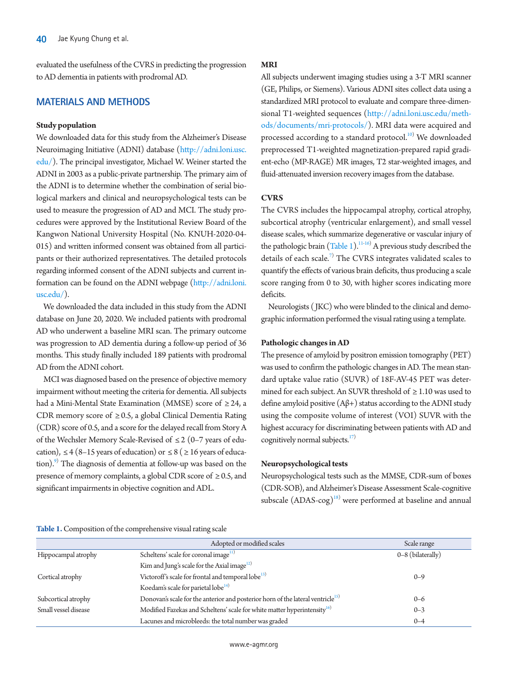evaluated the usefulness of the CVRS in predicting the progression to AD dementia in patients with prodromal AD.

# **MATERIALS AND METHODS**

## **Study population**

We downloaded data for this study from the Alzheimer's Disease Neuroimaging Initiative (ADNI) database [\(http://](http://adni.loni.usc.edu/)adni.loni.usc. edu/). The principal investigator, Michael W. Weiner started the ADNI in 2003 as a public-private partnership. The primary aim of the ADNI is to determine whether the combination of serial biological markers and clinical and neuropsychological tests can be used to measure the progression of AD and MCI. The study procedures were approved by the Institutional Review Board of the Kangwon National University Hospital (No. KNUH-2020-04- 015) and written informed consent was obtained from all participants or their authorized representatives. The detailed protocols regarding informed consent of the ADNI subjects and current information can be found on the ADNI webpage [\(http://adni.loni.](http://adni.loni.usc.edu/) [usc.edu/](http://adni.loni.usc.edu/)).

We downloaded the data included in this study from the ADNI database on June 20, 2020. We included patients with prodromal AD who underwent a baseline MRI scan. The primary outcome was progression to AD dementia during a follow-up period of 36 months. This study finally included 189 patients with prodromal AD from the ADNI cohort.

MCI was diagnosed based on the presence of objective memory impairment without meeting the criteria for dementia. All subjects had a Mini-Mental State Examination (MMSE) score of  $\geq$  24, a CDR memory score of  $\geq$  0.5, a global Clinical Dementia Rating (CDR) score of 0.5, and a score for the delayed recall from Story A of the Wechsler Memory Scale-Revised of ≤ 2 (0–7 years of education),  $\leq 4$  (8–15 years of education) or  $\leq 8$  ( $\geq 16$  years of education).<sup>9)</sup> The diagnosis of dementia at follow-up was based on the presence of memory complaints, a global CDR score of  $\geq 0.5$ , and significant impairments in objective cognition and ADL.

# **MRI**

All subjects underwent imaging studies using a 3-T MRI scanner (GE, Philips, or Siemens). Various ADNI sites collect data using a standardized MRI protocol to evaluate and compare three-dimensional T1-weighted sequences [\(http://](http://adni.loni.usc.edu/methods/documents/mri-protocols/)adni.loni.usc.edu/methods/documents/mri-protocols/). MRI data were acquired and processed according to a standard protocol.<sup>[10](#page-5-3))</sup> We downloaded preprocessed T1-weighted magnetization-prepared rapid gradient-echo (MP-RAGE) MR images, T2 star-weighted images, and fluid-attenuated inversion recovery images from the database.

## **CVRS**

The CVRS includes the hippocampal atrophy, cortical atrophy, subcortical atrophy (ventricular enlargement), and small vessel disease scales, which summarize degenerative or vascular injury of the pathologic brain  $(Table 1).^{11-16}$  $(Table 1).^{11-16}$  $(Table 1).^{11-16}$  $(Table 1).^{11-16}$  A previous study described the details of each scale.<sup>7)</sup> The CVRS integrates validated scales to quantify the effects of various brain deficits, thus producing a scale score ranging from 0 to 30, with higher scores indicating more deficits.

Neurologists (JKC) who were blinded to the clinical and demographic information performed the visual rating using a template.

# **Pathologic changes in AD**

The presence of amyloid by positron emission tomography (PET) was used to confirm the pathologic changes in AD. The mean standard uptake value ratio (SUVR) of 18F-AV-45 PET was determined for each subject. An SUVR threshold of  $\geq 1.10$  was used to define amyloid positive (Aβ+) status according to the ADNI study using the composite volume of interest (VOI) SUVR with the highest accuracy for discriminating between patients with AD and cognitively normal subjects. $17$ 

## **Neuropsychological tests**

Neuropsychological tests such as the MMSE, CDR-sum of boxes (CDR-SOB), and Alzheimer's Disease Assessment Scale-cognitive subscale  $(ADAS-cog)^{18}$  were performed at baseline and annual

#### <span id="page-1-0"></span>**Table 1.** Composition of the comprehensive visual rating scale

|                      | Adopted or modified scales                                                                  | Scale range       |
|----------------------|---------------------------------------------------------------------------------------------|-------------------|
| Hippocampal atrophy  | Scheltens' scale for coronal image <sup>11)</sup>                                           | 0-8 (bilaterally) |
|                      | Kim and Jung's scale for the Axial image <sup>12)</sup>                                     |                   |
| Cortical atrophy     | Victoroff's scale for frontal and temporal lobe <sup>13)</sup>                              | $0 - 9$           |
|                      | Koedam's scale for parietal lobe <sup>14)</sup>                                             |                   |
| Subcortical atrophy  | Donovan's scale for the anterior and posterior horn of the lateral ventricle <sup>15)</sup> | $0 - 6$           |
| Small vessel disease | Modified Fazekas and Scheltens' scale for white matter hyperintensity <sup>16)</sup>        | $0 - 3$           |
|                      | Lacunes and microbleeds: the total number was graded                                        | $0 - 4$           |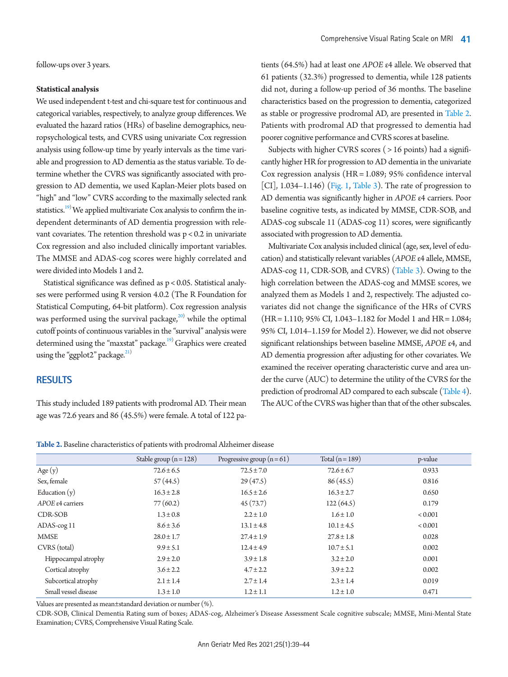follow-ups over 3 years.

#### **Statistical analysis**

We used independent t-test and chi-square test for continuous and categorical variables, respectively, to analyze group differences. We evaluated the hazard ratios (HRs) of baseline demographics, neuropsychological tests, and CVRS using univariate Cox regression analysis using follow-up time by yearly intervals as the time variable and progression to AD dementia as the status variable. To determine whether the CVRS was significantly associated with progression to AD dementia, we used Kaplan-Meier plots based on "high" and "low" CVRS according to the maximally selected rank statistics.<sup>19)</sup> We applied multivariate Cox analysis to confirm the independent determinants of AD dementia progression with relevant covariates. The retention threshold was p < 0.2 in univariate Cox regression and also included clinically important variables. The MMSE and ADAS-cog scores were highly correlated and were divided into Models 1 and 2.

Statistical significance was defined as p < 0.05. Statistical analyses were performed using R version 4.0.2 (The R Foundation for Statistical Computing, 64-bit platform). Cox regression analysis was performed using the survival package, $^{20)}$  $^{20)}$  $^{20)}$  while the optimal cutoff points of continuous variables in the "survival" analysis were determined using the "maxstat" package.<sup>19)</sup> Graphics were created using the "ggplot2" package. $^{21)}$  $^{21)}$  $^{21)}$ 

# **RESULTS**

This study included 189 patients with prodromal AD. Their mean age was 72.6 years and 86 (45.5%) were female. A total of 122 pa-

tients (64.5%) had at least one *APOE* ε4 allele. We observed that 61 patients (32.3%) progressed to dementia, while 128 patients did not, during a follow-up period of 36 months. The baseline characteristics based on the progression to dementia, categorized as stable or progressive prodromal AD, are presented in [Table 2.](#page-2-0) Patients with prodromal AD that progressed to dementia had poorer cognitive performance and CVRS scores at baseline.

Subjects with higher CVRS scores ( > 16 points) had a significantly higher HR for progression to AD dementia in the univariate Cox regression analysis (HR = 1.089; 95% confidence interval [CI],  $1.034-1.146$ ) [\(Fig. 1](#page-5-6), [Table 3\)](#page-3-0). The rate of progression to AD dementia was significantly higher in *APOE* ε4 carriers. Poor baseline cognitive tests, as indicated by MMSE, CDR-SOB, and ADAS-cog subscale 11 (ADAS-cog 11) scores, were significantly associated with progression to AD dementia.

Multivariate Cox analysis included clinical (age, sex, level of education) and statistically relevant variables (*APOE* ε4 allele, MMSE, ADAS-cog 11, CDR-SOB, and CVRS) [\(Table 3](#page-3-0)). Owing to the high correlation between the ADAS-cog and MMSE scores, we analyzed them as Models 1 and 2, respectively. The adjusted covariates did not change the significance of the HRs of CVRS (HR = 1.110; 95% CI, 1.043–1.182 for Model 1 and HR = 1.084; 95% CI, 1.014–1.159 for Model 2). However, we did not observe significant relationships between baseline MMSE, *APOE* ε4, and AD dementia progression after adjusting for other covariates. We examined the receiver operating characteristic curve and area under the curve (AUC) to determine the utility of the CVRS for the prediction of prodromal AD compared to each subscale [\(Table 4\)](#page-3-1). The AUC of the CVRS was higher than that of the other subscales.

<span id="page-2-0"></span>

| <b>Table 2.</b> Baseline characteristics of patients with prodromal Alzheimer disease |  |  |
|---------------------------------------------------------------------------------------|--|--|
|---------------------------------------------------------------------------------------|--|--|

|                            | Stable group $(n = 128)$ | Progressive group $(n=61)$ | Total $(n=189)$ | p-value     |
|----------------------------|--------------------------|----------------------------|-----------------|-------------|
| Age $(y)$                  | $72.6 \pm 6.5$           | $72.5 \pm 7.0$             | $72.6 \pm 6.7$  | 0.933       |
| Sex, female                | 57(44.5)                 | 29(47.5)                   | 86(45.5)        | 0.816       |
| Education $(y)$            | $16.3 \pm 2.8$           | $16.5 \pm 2.6$             | $16.3 \pm 2.7$  | 0.650       |
| APOE $\epsilon$ 4 carriers | 77(60.2)                 | 45(73.7)                   | 122(64.5)       | 0.179       |
| CDR-SOB                    | $1.3 \pm 0.8$            | $2.2 \pm 1.0$              | $1.6 \pm 1.0$   | ${}< 0.001$ |
| ADAS-cog 11                | $8.6 \pm 3.6$            | $13.1 \pm 4.8$             | $10.1 \pm 4.5$  | ${}< 0.001$ |
| <b>MMSE</b>                | $28.0 \pm 1.7$           | $27.4 \pm 1.9$             | $27.8 \pm 1.8$  | 0.028       |
| CVRS (total)               | $9.9 \pm 5.1$            | $12.4 \pm 4.9$             | $10.7 \pm 5.1$  | 0.002       |
| Hippocampal atrophy        | $2.9 \pm 2.0$            | $3.9 \pm 1.8$              | $3.2 \pm 2.0$   | 0.001       |
| Cortical atrophy           | $3.6 \pm 2.2$            | $4.7 \pm 2.2$              | $3.9 \pm 2.2$   | 0.002       |
| Subcortical atrophy        | $2.1 \pm 1.4$            | $2.7 \pm 1.4$              | $2.3 \pm 1.4$   | 0.019       |
| Small vessel disease       | $1.3 \pm 1.0$            | $1.2 \pm 1.1$              | $1.2 \pm 1.0$   | 0.471       |

Values are presented as mean±standard deviation or number (%).

CDR-SOB, Clinical Dementia Rating sum of boxes; ADAS-cog, Alzheimer's Disease Assessment Scale cognitive subscale; MMSE, Mini-Mental State Examination; CVRS, Comprehensive Visual Rating Scale.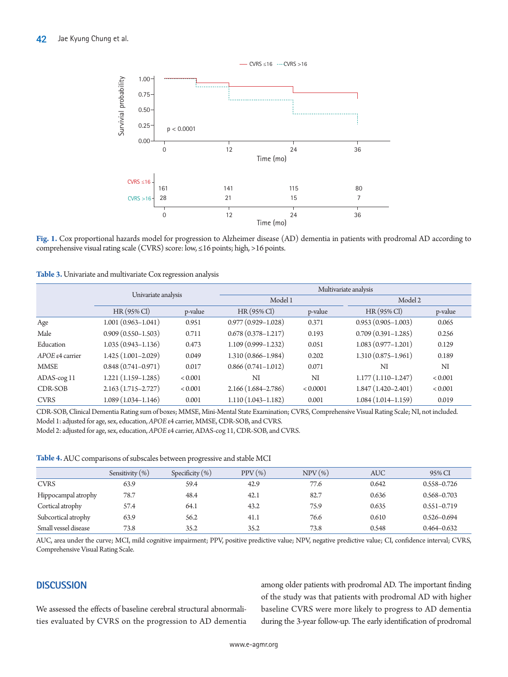

**Fig. 1.** Cox proportional hazards model for progression to Alzheimer disease (AD) dementia in patients with prodromal AD according to comprehensive visual rating scale (CVRS) score: low, ≤16 points; high, >16 points.

<span id="page-3-0"></span>**Table 3.** Univariate and multivariate Cox regression analysis

|                           | Univariate analysis    |                | Multivariate analysis  |          |                        |                |  |
|---------------------------|------------------------|----------------|------------------------|----------|------------------------|----------------|--|
|                           |                        |                | Model 1                |          | Model 2                |                |  |
|                           | $HR(95\% \text{ Cl})$  | p-value        | $HR(95\% \text{ Cl})$  | p-value  | $HR(95\% \text{ Cl})$  | p-value        |  |
| Age                       | $1.001(0.963 - 1.041)$ | 0.951          | $0.977(0.929 - 1.028)$ | 0.371    | $0.953(0.905 - 1.003)$ | 0.065          |  |
| Male                      | $0.909(0.550 - 1.503)$ | 0.711          | $0.678(0.378 - 1.217)$ | 0.193    | $0.709(0.391 - 1.285)$ | 0.256          |  |
| Education                 | $1.035(0.943 - 1.136)$ | 0.473          | $1.109(0.999 - 1.232)$ | 0.051    | $1.083(0.977 - 1.201)$ | 0.129          |  |
| $APOE \epsilon 4$ carrier | $1.425(1.001 - 2.029)$ | 0.049          | $1.310(0.866 - 1.984)$ | 0.202    | $1.310(0.875 - 1.961)$ | 0.189          |  |
| <b>MMSE</b>               | $0.848(0.741 - 0.971)$ | 0.017          | $0.866(0.741 - 1.012)$ | 0.071    | NI                     | NI             |  |
| ADAS-cog 11               | $1.221(1.159-1.285)$   | ${}_{< 0.001}$ | NI                     | NI       | $1.177(1.110-1.247)$   | ${}_{< 0.001}$ |  |
| CDR-SOB                   | $2.163(1.715 - 2.727)$ | ${}_{< 0.001}$ | $2.166(1.684 - 2.786)$ | < 0.0001 | $1.847(1.420 - 2.401)$ | ${}_{< 0.001}$ |  |
| <b>CVRS</b>               | $1.089(1.034 - 1.146)$ | 0.001          | $1.110(1.043 - 1.182)$ | 0.001    | $1.084(1.014 - 1.159)$ | 0.019          |  |

CDR-SOB, Clinical Dementia Rating sum of boxes; MMSE, Mini-Mental State Examination; CVRS, Comprehensive Visual Rating Scale; NI, not included. Model 1: adjusted for age, sex, education, *APOE* ε4 carrier, MMSE, CDR-SOB, and CVRS.

Model 2: adjusted for age, sex, education, *APOE* ε4 carrier, ADAS-cog 11, CDR-SOB, and CVRS.

<span id="page-3-1"></span>**Table 4.** AUC comparisons of subscales between progressive and stable MCI

|                      | Sensitivity $(\%)$ | Specificity $(\%)$ | $PPV(\%)$ | $NPV$ (%) | <b>AUC</b> | 95% CI          |
|----------------------|--------------------|--------------------|-----------|-----------|------------|-----------------|
| <b>CVRS</b>          | 63.9               | 59.4               | 42.9      | 77.6      | 0.642      | $0.558 - 0.726$ |
| Hippocampal atrophy  | 78.7               | 48.4               | 42.1      | 82.7      | 0.636      | $0.568 - 0.703$ |
| Cortical atrophy     | 57.4               | 64.1               | 43.2      | 75.9      | 0.635      | $0.551 - 0.719$ |
| Subcortical atrophy  | 63.9               | 56.2               | 41.1      | 76.6      | 0.610      | $0.526 - 0.694$ |
| Small vessel disease | 73.8               | 35.2               | 35.2      | 73.8      | 0.548      | $0.464 - 0.632$ |

AUC, area under the curve; MCI, mild cognitive impairment; PPV, positive predictive value; NPV, negative predictive value; CI, confidence interval; CVRS, Comprehensive Visual Rating Scale.

# **DISCUSSION**

We assessed the effects of baseline cerebral structural abnormalities evaluated by CVRS on the progression to AD dementia among older patients with prodromal AD. The important finding of the study was that patients with prodromal AD with higher baseline CVRS were more likely to progress to AD dementia during the 3-year follow-up. The early identification of prodromal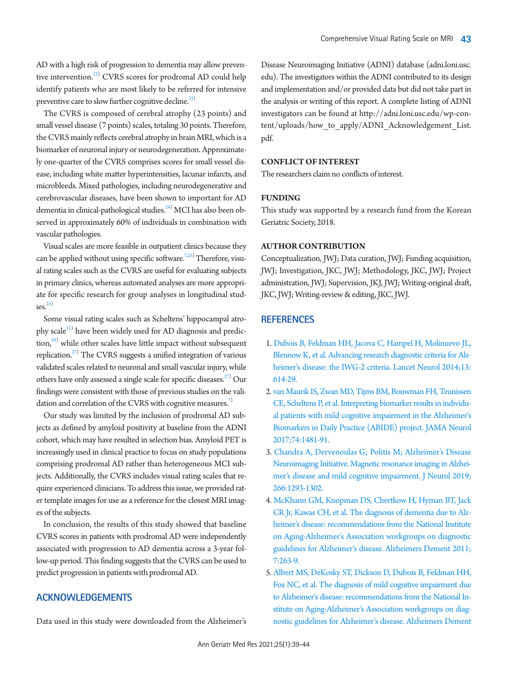AD with a high risk of progression to dementia may allow preventive intervention.<sup>22)</sup> CVRS scores for prodromal AD could help identify patients who are most likely to be referred for intensive preventive care to slow further cognitive decline.<sup>23)</sup>

The CVRS is composed of cerebral atrophy (23 points) and small vessel disease (7 points) scales, totaling 30 points. Therefore, the CVRS mainly reflects cerebral atrophy in brain MRI, which is a biomarker of neuronal injury or neurodegeneration. Approximately one-quarter of the CVRS comprises scores for small vessel disease, including white matter hyperintensities, lacunar infarcts, and microbleeds. Mixed pathologies, including neurodegenerative and cerebrovascular diseases, have been shown to important for AD dementia in clinical-pathological studies.<sup>24)</sup> MCI has also been observed in approximately 60% of individuals in combination with vascular pathologies.

Visual scales are more feasible in outpatient clinics because they can be applied without using specific software.<sup>7[,25\)](#page-5-18)</sup> Therefore, visual rating scales such as the CVRS are useful for evaluating subjects in primary clinics, whereas automated analyses are more appropriate for specific research for group analyses in longitudinal stud $ies<sup>25</sup>$ 

Some visual rating scales such as Scheltens' hippocampal atrophy scale $^{\text{\tiny{[1]}}}$  have been widely used for AD diagnosis and predic- $\frac{1}{26}$  while other scales have little impact without subsequent replication. $^{27)}$  The CVRS suggests a unified integration of various validated scales related to neuronal and small vascular injury, while others have only assessed a single scale for specific diseases.<sup>27)</sup> Our findings were consistent with those of previous studies on the vali-dation and correlation of the CVRS with cognitive measures.<sup>[7](#page-4-7))</sup>

Our study was limited by the inclusion of prodromal AD subjects as defined by amyloid positivity at baseline from the ADNI cohort, which may have resulted in selection bias. Amyloid PET is increasingly used in clinical practice to focus on study populations comprising prodromal AD rather than heterogeneous MCI subjects. Additionally, the CVRS includes visual rating scales that require experienced clinicians. To address this issue, we provided rater template images for use as a reference for the closest MRI images of the subjects.

In conclusion, the results of this study showed that baseline CVRS scores in patients with prodromal AD were independently associated with progression to AD dementia across a 3-year follow-up period. This finding suggests that the CVRS can be used to predict progression in patients with prodromal AD.

## **ACKNOWLEDGEMENTS**

Data used in this study were downloaded from the Alzheimer's

Disease Neuroimaging Initiative (ADNI) database (adni.loni.usc. edu). The investigators within the ADNI contributed to its design and implementation and/or provided data but did not take part in the analysis or writing of this report. A complete listing of ADNI investigators can be found at [http://adni.loni.usc.edu/wp-con](http://adni.loni.usc.edu/wp-content/uploads/how_to_apply/ADNI_Acknowledgement_List.pdf)[tent/uploads/how\\_to\\_apply/ADNI\\_Acknowledgement\\_List.](http://adni.loni.usc.edu/wp-content/uploads/how_to_apply/ADNI_Acknowledgement_List.pdf) [pdf.](http://adni.loni.usc.edu/wp-content/uploads/how_to_apply/ADNI_Acknowledgement_List.pdf)

## **CONFLICT OF INTEREST**

The researchers claim no conflicts of interest.

#### **FUNDING**

This study was supported by a research fund from the Korean Geriatric Society, 2018.

## **AUTHOR CONTRIBUTION**

Conceptualization, JWJ; Data curation, JWJ; Funding acquisition, JWJ; Investigation, JKC, JWJ; Methodology, JKC, JWJ; Project administration, JWJ; Supervision, JKJ, JWJ; Writing-original draft, JKC, JWJ; Writing-review & editing, JKC, JWJ.

#### **REFERENCES**

- <span id="page-4-0"></span>1. [Dubois B, Feldman HH, Jacova C, Hampel H, Molinuevo JL,](https://doi.org/10.1016/s1474-4422(14)70090-0)  [Blennow K, et al. Advancing research diagnostic criteria for Alz](https://doi.org/10.1016/s1474-4422(14)70090-0)[heimer's disease: the IWG-2 criteria. Lancet Neurol 2014;13:](https://doi.org/10.1016/s1474-4422(14)70090-0) [614-29.](https://doi.org/10.1016/s1474-4422(14)70090-0)
- <span id="page-4-1"></span>2. [van Maurik IS, Zwan MD, Tijms BM, Bouwman FH, Teunissen](https://doi.org/10.1001/jamaneurol.2017.2712)  [CE, Scheltens P, et al. Interpreting biomarker results in individu](https://doi.org/10.1001/jamaneurol.2017.2712)[al patients with mild cognitive impairment in the Alzheimer's](https://doi.org/10.1001/jamaneurol.2017.2712)  [Biomarkers in Daily Practice \(ABIDE\) project. JAMA](https://doi.org/10.1001/jamaneurol.2017.2712) Neurol 2017;74:1481-91.
- <span id="page-4-2"></span>3[. Chandra A, Dervenoulas G; Politis M; Alzheimer's Disease](https://doi.org/10.1007/s00415-018-9016-3)  [Neuroimaging Initiative. Magnetic resonance imaging in Alzhei](https://doi.org/10.1007/s00415-018-9016-3)[mer's disease and mild cognitive impairment. J Neurol 2019;](https://doi.org/10.1007/s00415-018-9016-3) [266:1293-1302](https://doi.org/10.1007/s00415-018-9016-3).
- <span id="page-4-5"></span><span id="page-4-3"></span>4[. McKhann GM, Knopman DS, Chertkow H, Hyman BT, Jack](https://doi.org/10.1016/j.jalz.2011.03.005)  [CR Jr, Kawas CH, et al. The diagnosis of dementia due to Alz](https://doi.org/10.1016/j.jalz.2011.03.005)[heimer's disease: recommendations from the National Institute](https://doi.org/10.1016/j.jalz.2011.03.005)  [on Aging-Alzheimer's Association workgroups o](https://doi.org/10.1016/j.jalz.2011.03.005)n diagnostic guidelines for Alzheimer's disease. Alzheimers Dement 2011; 7:263-9.
- <span id="page-4-7"></span><span id="page-4-6"></span><span id="page-4-4"></span>5. Albert MS, DeKosky ST, Dickson [D, Dubois B, Feldman HH,](https://doi.org/10.1016/j.jalz.2011.03.008)  [Fox NC, et al. The diagnosis of mild cognitive impairment due](https://doi.org/10.1016/j.jalz.2011.03.008)  [to Alzheimer's disease: recommendations from the National In](https://doi.org/10.1016/j.jalz.2011.03.008)[stitute on Aging-Alzheimer's Association workgroups](https://doi.org/10.1016/j.jalz.2011.03.008) on diagnostic guidelines for Alzheimer's disease. Alzheimers Dement